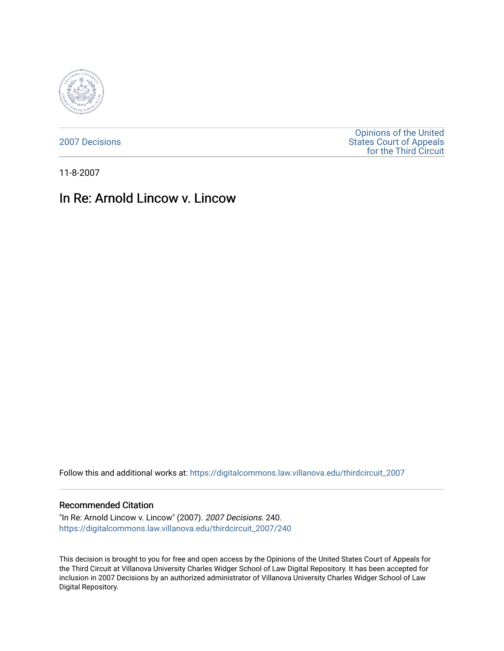

[2007 Decisions](https://digitalcommons.law.villanova.edu/thirdcircuit_2007)

[Opinions of the United](https://digitalcommons.law.villanova.edu/thirdcircuit)  [States Court of Appeals](https://digitalcommons.law.villanova.edu/thirdcircuit)  [for the Third Circuit](https://digitalcommons.law.villanova.edu/thirdcircuit) 

11-8-2007

## In Re: Arnold Lincow v. Lincow

Follow this and additional works at: [https://digitalcommons.law.villanova.edu/thirdcircuit\\_2007](https://digitalcommons.law.villanova.edu/thirdcircuit_2007?utm_source=digitalcommons.law.villanova.edu%2Fthirdcircuit_2007%2F240&utm_medium=PDF&utm_campaign=PDFCoverPages) 

## Recommended Citation

"In Re: Arnold Lincow v. Lincow" (2007). 2007 Decisions. 240. [https://digitalcommons.law.villanova.edu/thirdcircuit\\_2007/240](https://digitalcommons.law.villanova.edu/thirdcircuit_2007/240?utm_source=digitalcommons.law.villanova.edu%2Fthirdcircuit_2007%2F240&utm_medium=PDF&utm_campaign=PDFCoverPages)

This decision is brought to you for free and open access by the Opinions of the United States Court of Appeals for the Third Circuit at Villanova University Charles Widger School of Law Digital Repository. It has been accepted for inclusion in 2007 Decisions by an authorized administrator of Villanova University Charles Widger School of Law Digital Repository.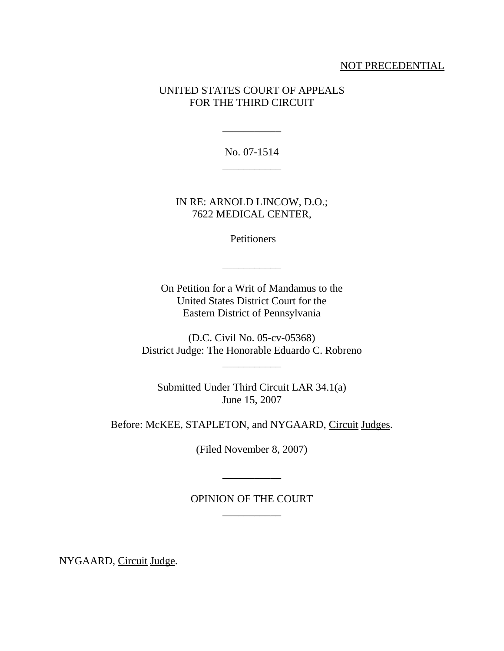## NOT PRECEDENTIAL

## UNITED STATES COURT OF APPEALS FOR THE THIRD CIRCUIT

No. 07-1514

\_\_\_\_\_\_\_\_\_\_\_

IN RE: ARNOLD LINCOW, D.O.; 7622 MEDICAL CENTER,

**Petitioners** 

\_\_\_\_\_\_\_\_\_\_\_

On Petition for a Writ of Mandamus to the United States District Court for the Eastern District of Pennsylvania

(D.C. Civil No. 05-cv-05368) District Judge: The Honorable Eduardo C. Robreno

\_\_\_\_\_\_\_\_\_\_\_

Submitted Under Third Circuit LAR 34.1(a) June 15, 2007

Before: McKEE, STAPLETON, and NYGAARD, Circuit Judges.

(Filed November 8, 2007)

\_\_\_\_\_\_\_\_\_\_\_

OPINION OF THE COURT \_\_\_\_\_\_\_\_\_\_\_

NYGAARD, Circuit Judge.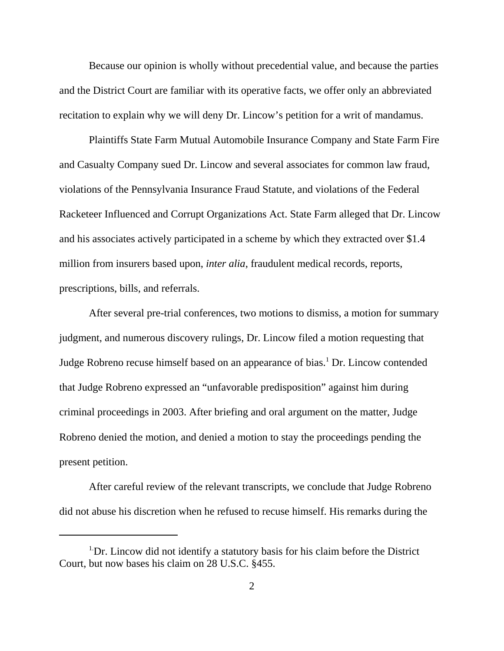Because our opinion is wholly without precedential value, and because the parties and the District Court are familiar with its operative facts, we offer only an abbreviated recitation to explain why we will deny Dr. Lincow's petition for a writ of mandamus.

Plaintiffs State Farm Mutual Automobile Insurance Company and State Farm Fire and Casualty Company sued Dr. Lincow and several associates for common law fraud, violations of the Pennsylvania Insurance Fraud Statute, and violations of the Federal Racketeer Influenced and Corrupt Organizations Act. State Farm alleged that Dr. Lincow and his associates actively participated in a scheme by which they extracted over \$1.4 million from insurers based upon, *inter alia*, fraudulent medical records, reports, prescriptions, bills, and referrals.

After several pre-trial conferences, two motions to dismiss, a motion for summary judgment, and numerous discovery rulings, Dr. Lincow filed a motion requesting that Judge Robreno recuse himself based on an appearance of bias.<sup>1</sup> Dr. Lincow contended that Judge Robreno expressed an "unfavorable predisposition" against him during criminal proceedings in 2003. After briefing and oral argument on the matter, Judge Robreno denied the motion, and denied a motion to stay the proceedings pending the present petition.

After careful review of the relevant transcripts, we conclude that Judge Robreno did not abuse his discretion when he refused to recuse himself. His remarks during the

<sup>&</sup>lt;sup>1</sup>Dr. Lincow did not identify a statutory basis for his claim before the District Court, but now bases his claim on 28 U.S.C. §455.